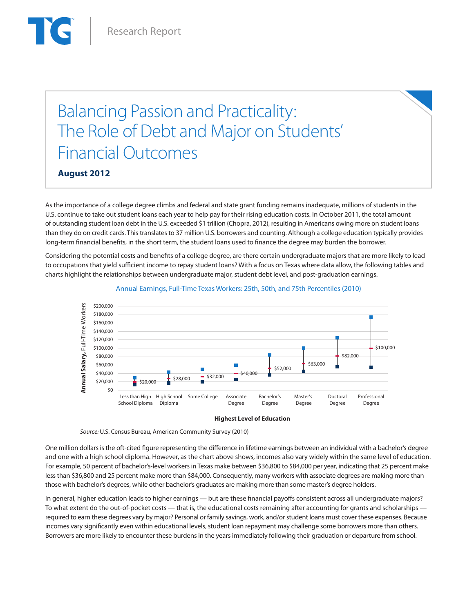# Balancing Passion and Practicality: The Role of Debt and Major on Students' Financial Outcomes

**August 2012**

As the importance of a college degree climbs and federal and state grant funding remains inadequate, millions of students in the U.S. continue to take out student loans each year to help pay for their rising education costs. In October 2011, the total amount of outstanding student loan debt in the U.S. exceeded \$1 trillion (Chopra, 2012), resulting in Americans owing more on student loans than they do on credit cards. This translates to 37 million U.S. borrowers and counting. Although a college education typically provides long-term financial benefits, in the short term, the student loans used to finance the degree may burden the borrower.

Considering the potential costs and benefits of a college degree, are there certain undergraduate majors that are more likely to lead to occupations that yield sufficient income to repay student loans? With a focus on Texas where data allow, the following tables and charts highlight the relationships between undergraduate major, student debt level, and post-graduation earnings.



### Annual Earnings, Full-Time Texas Workers: 25th, 50th, and 75th Percentiles (2010)

#### **Highest Level of Education**

 *Source:* U.S. Census Bureau, American Community Survey (2010)

One million dollars is the oft-cited figure representing the difference in lifetime earnings between an individual with a bachelor's degree and one with a high school diploma. However, as the chart above shows, incomes also vary widely within the same level of education. For example, 50 percent of bachelor's-level workers in Texas make between \$36,800 to \$84,000 per year, indicating that 25 percent make less than \$36,800 and 25 percent make more than \$84,000. Consequently, many workers with associate degrees are making more than those with bachelor's degrees, while other bachelor's graduates are making more than some master's degree holders.

In general, higher education leads to higher earnings — but are these financial payoffs consistent across all undergraduate majors? To what extent do the out-of-pocket costs — that is, the educational costs remaining after accounting for grants and scholarships required to earn these degrees vary by major? Personal or family savings, work, and/or student loans must cover these expenses. Because incomes vary significantly even within educational levels, student loan repayment may challenge some borrowers more than others. Borrowers are more likely to encounter these burdens in the years immediately following their graduation or departure from school.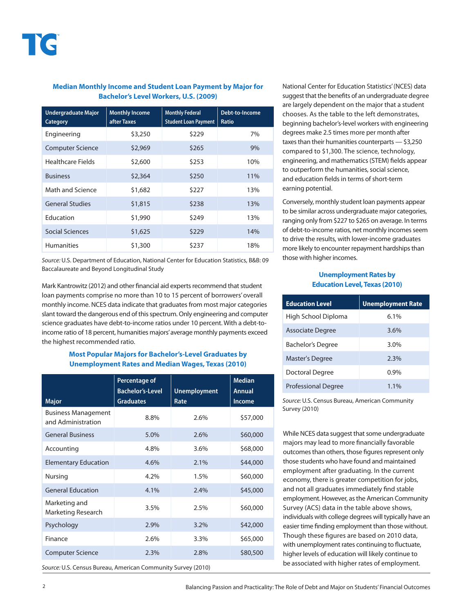## **Median Monthly Income and Student Loan Payment by Major for Bachelor's Level Workers, U.S. (2009)**

| <b>Undergraduate Major</b><br><b>Category</b> | <b>Monthly Income</b><br>after Taxes | <b>Monthly Federal</b><br><b>Student Loan Payment</b> | Debt-to-Income<br><b>Ratio</b> |
|-----------------------------------------------|--------------------------------------|-------------------------------------------------------|--------------------------------|
| Engineering                                   | \$3,250                              | \$229                                                 | 7%                             |
| <b>Computer Science</b>                       | \$2,969                              | \$265                                                 | 9%                             |
| Healthcare Fields                             | \$2,600                              | \$253                                                 | 10%                            |
| <b>Business</b>                               | \$2,364                              | \$250                                                 | 11%                            |
| Math and Science                              | \$1,682                              | \$227                                                 | 13%                            |
| <b>General Studies</b>                        | \$1,815                              | \$238                                                 | 13%                            |
| Education                                     | \$1,990                              | \$249                                                 | 13%                            |
| Social Sciences                               | \$1,625                              | \$229                                                 | 14%                            |
| <b>Humanities</b>                             | \$1,300                              | \$237                                                 | 18%                            |

*Source:* U.S. Department of Education, National Center for Education Statistics, B&B: 09 Baccalaureate and Beyond Longitudinal Study

Mark Kantrowitz (2012) and other financial aid experts recommend that student loan payments comprise no more than 10 to 15 percent of borrowers' overall monthly income. NCES data indicate that graduates from most major categories slant toward the dangerous end of this spectrum. Only engineering and computer science graduates have debt-to-income ratios under 10 percent. With a debt-toincome ratio of 18 percent, humanities majors' average monthly payments exceed the highest recommended ratio.

# **Most Popular Majors for Bachelor's-Level Graduates by Unemployment Rates and Median Wages, Texas (2010)**

| <b>Major</b>                                     | <b>Percentage of</b><br><b>Bachelor's-Level</b><br><b>Graduates</b> | <b>Unemployment</b><br>Rate | <b>Median</b><br><b>Annual</b><br><b>Income</b> |
|--------------------------------------------------|---------------------------------------------------------------------|-----------------------------|-------------------------------------------------|
| <b>Business Management</b><br>and Administration | 8.8%                                                                | 2.6%                        | \$57,000                                        |
| <b>General Business</b>                          | 5.0%                                                                | 2.6%                        | \$60,000                                        |
| Accounting                                       | 4.8%                                                                | 3.6%                        | \$68,000                                        |
| <b>Elementary Education</b>                      | 4.6%                                                                | 2.1%                        | \$44,000                                        |
| Nursing                                          | 4.2%                                                                | 1.5%                        | \$60,000                                        |
| <b>General Education</b>                         | 4.1%                                                                | 2.4%                        | \$45,000                                        |
| Marketing and<br>Marketing Research              | 3.5%                                                                | 2.5%                        | \$60,000                                        |
| Psychology                                       | 2.9%                                                                | 3.2%                        | \$42,000                                        |
| Finance                                          | 2.6%                                                                | 3.3%                        | \$65,000                                        |
| <b>Computer Science</b>                          | 2.3%                                                                | 2.8%                        | \$80,500                                        |
|                                                  |                                                                     |                             |                                                 |

*Source:* U.S. Census Bureau, American Community Survey (2010)

National Center for Education Statistics' (NCES) data suggest that the benefits of an undergraduate degree are largely dependent on the major that a student chooses. As the table to the left demonstrates, beginning bachelor's-level workers with engineering degrees make 2.5 times more per month after taxes than their humanities counterparts — \$3,250 compared to \$1,300. The science, technology, engineering, and mathematics (STEM) fields appear to outperform the humanities, social science, and education fields in terms of short-term earning potential.

Conversely, monthly student loan payments appear to be similar across undergraduate major categories, ranging only from \$227 to \$265 on average. In terms of debt-to-income ratios, net monthly incomes seem to drive the results, with lower-income graduates more likely to encounter repayment hardships than those with higher incomes.

#### **Unemployment Rates by Education Level, Texas (2010)**

| <b>Education Level</b>     | <b>Unemployment Rate</b> |  |
|----------------------------|--------------------------|--|
| High School Diploma        | 6.1%                     |  |
| Associate Degree           | 3.6%                     |  |
| Bachelor's Degree          | 3.0%                     |  |
| <b>Master's Degree</b>     | $2.3\%$                  |  |
| Doctoral Degree            | $0.9\%$                  |  |
| <b>Professional Degree</b> | $1.1\%$                  |  |

*Source:* U.S. Census Bureau, American Community Survey (2010)

While NCES data suggest that some undergraduate majors may lead to more financially favorable outcomes than others, those figures represent only those students who have found and maintained employment after graduating. In the current economy, there is greater competition for jobs, and not all graduates immediately find stable employment. However, as the American Community Survey (ACS) data in the table above shows, individuals with college degrees will typically have an easier time finding employment than those without. Though these figures are based on 2010 data, with unemployment rates continuing to fluctuate, higher levels of education will likely continue to be associated with higher rates of employment.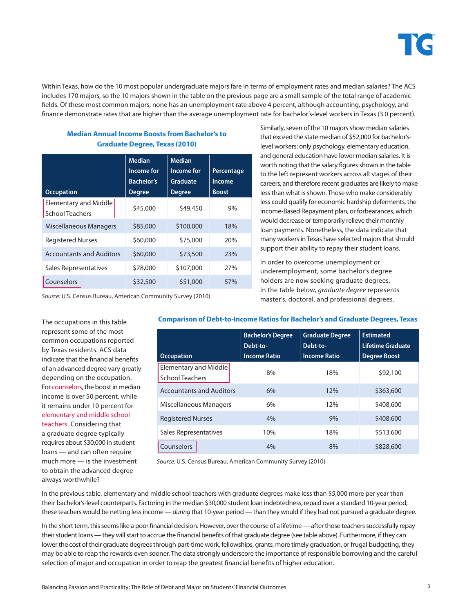

Within Texas, how do the 10 most popular undergraduate majors fare in terms of employment rates and median salaries? The ACS includes 170 majors, so the 10 majors shown in the table on the previous page are a small sample of the total range of academic fields. Of these most common majors, none has an unemployment rate above 4 percent, although accounting, psychology, and finance demonstrate rates that are higher than the average unemployment rate for bachelor's-level workers in Texas (3.0 percent).

|                                                        | <b>Median</b><br>Income for | <b>Median</b><br>Income for | Percentage    |
|--------------------------------------------------------|-----------------------------|-----------------------------|---------------|
|                                                        | <b>Bachelor's</b>           | Graduate                    | <b>Income</b> |
| <b>Occupation</b>                                      | <b>Degree</b>               | <b>Degree</b>               | <b>Boost</b>  |
| <b>Elementary and Middle</b><br><b>School Teachers</b> | \$45,000                    | \$49,450                    | 9%            |
| Miscellaneous Managers                                 | \$85,000                    | \$100,000                   | 18%           |
| <b>Registered Nurses</b>                               | \$60,000                    | \$75,000                    | 20%           |
| <b>Accountants and Auditors</b>                        | \$60,000                    | \$73,500                    | 23%           |
| Sales Representatives                                  | \$78,000                    | \$107,000                   | 27%           |
| Counselors                                             | \$32,500                    | \$51,000                    | 57%           |

**Median Annual Income Boosts from Bachelor's to Graduate Degree, Texas (2010)**

*Source:* U.S. Census Bureau, American Community Survey (2010)

Similarly, seven of the 10 majors show median salaries that exceed the state median of \$52,000 for bachelor'slevel workers; only psychology, elementary education, and general education have lower median salaries. It is worth noting that the salary figures shown in the table to the left represent workers across all stages of their careers, and therefore recent graduates are likely to make less than what is shown. Those who make considerably less could qualify for economic hardship deferments, the Income-Based Repayment plan, or forbearances, which would decrease or temporarily relieve their monthly loan payments. Nonetheless, the data indicate that many workers in Texas have selected majors that should support their ability to repay their student loans.

In order to overcome unemployment or underemployment, some bachelor's degree holders are now seeking graduate degrees. In the table below, *graduate degree* represents master's, doctoral, and professional degrees.

The occupations in this table represent some of the most common occupations reported by Texas residents. ACS data indicate that the financial benefits of an advanced degree vary greatly depending on the occupation. For counselors, the boost in median income is over 50 percent, while it remains under 10 percent for elementary and middle school teachers. Considering that a graduate degree typically requires about \$30,000 in student loans — and can often require much more — is the investment to obtain the advanced degree always worthwhile?

**Comparison of Debt-to-Income Ratios for Bachelor's and Graduate Degrees, Texas**

| <b>Occupation</b>                               | <b>Bachelor's Degree</b><br>Debt-to-<br><b>Income Ratio</b> | <b>Graduate Degree</b><br>Debt-to-<br><b>Income Ratio</b> | <b>Estimated</b><br>Lifetime Graduate<br><b>Degree Boost</b> |
|-------------------------------------------------|-------------------------------------------------------------|-----------------------------------------------------------|--------------------------------------------------------------|
| Elementary and Middle<br><b>School Teachers</b> | 8%                                                          | 18%                                                       | \$92,100                                                     |
| <b>Accountants and Auditors</b>                 | 6%                                                          | 12%                                                       | \$363,600                                                    |
| Miscellaneous Managers                          | 6%                                                          | 12%                                                       | \$408,600                                                    |
| <b>Registered Nurses</b>                        | 4%                                                          | 9%                                                        | \$408,600                                                    |
| Sales Representatives                           | 10%                                                         | 18%                                                       | \$513,600                                                    |
| Counselors                                      | 4%                                                          | 8%                                                        | \$828,600                                                    |

*Source:* U.S. Census Bureau, American Community Survey (2010)

In the previous table, elementary and middle school teachers with graduate degrees make less than \$5,000 more per year than their bachelor's-level counterparts. Factoring in the median \$30,000 student loan indebtedness, repaid over a standard 10-year period, these teachers would be netting less income — *during* that 10-year period — than they would if they had not pursued a graduate degree.

In the short term, this seems like a poor financial decision. However, over the course of a lifetime — after those teachers successfully repay their student loans — they will start to accrue the financial benefits of that graduate degree (see table above). Furthermore, if they can lower the cost of their graduate degrees through part-time work, fellowships, grants, more timely graduation, or frugal budgeting, they may be able to reap the rewards even sooner. The data strongly underscore the importance of responsible borrowing and the careful selection of major and occupation in order to reap the greatest financial benefits of higher education.